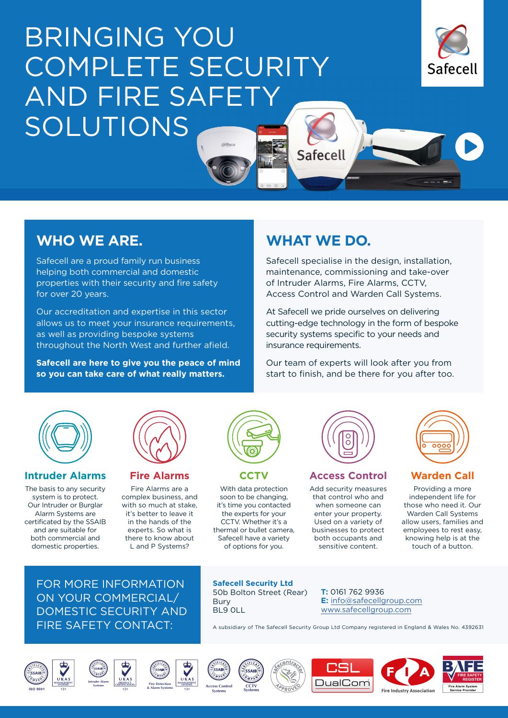# BRINGING YOU COMPLETE SECURITY AND FIRE SAFETY SOLUTIONS



# **WHO WE ARE.**

Safecell are a proud family run business helping both commercial and domestic properties with their security and fire safety for over 20 years.

Our accreditation and expertise in this sector allows us to meet your insurance requirements, as well as providing bespoke systems throughout the North West and further afield.

**Safecell are here to give you the peace of mind so you can take care of what really matters.**

## **WHAT WE DO.**

Safecell

Safecell specialise in the design, installation, maintenance, commissioning and take-over of Intruder Alarms, Fire Alarms, CCTV, Access Control and Warden Call Systems.

At Safecell we pride ourselves on delivering cutting-edge technology in the form of bespoke security systems specific to your needs and insurance requirements.

Our team of experts will look after you from start to finish, and be there for you after too.



#### **Intruder Alarms**

The basis to any security system is to protect. Our Intruder or Burglar Alarm Systems are certificated by the SSAIB and are suitable for both commercial and domestic properties.



#### **Fire Alarms**

Fire Alarms are a complex business, and with so much at stake, it's better to leave it in the hands of the experts. So what is there to know about L and P Systems?



## **CCTV**

With data protection soon to be changing, it's time you contacted the experts for your CCTV. Whether it's a thermal or bullet camera, Safecell have a variety of options for you.



### **Access Control**

Add security measures that control who and when someone can enter your property. Used on a variety of businesses to protect both occupants and sensitive content.

#### **Warden Call**

Providing a more independent life for those who need it. Our Warden Call Systems allow users, families and employees to rest easy, knowing help is at the touch of a button.

FOR MORE INFORMATION ON YOUR COMMERCIAL/ DOMESTIC SECURITY AND FIRE SAFETY CONTACT:

**Safecell Security Ltd** 50b Bolton Street (Rear) Bury BL9 0LL

**T:** 0161 762 9936 **E:** [info@safecellgroup.com](mailto:info%40safecellgroup.com?subject=) [www.safecellgroup.com](https://safecellgroup.com/)

A subsidiary of The Safecell Security Group Ltd Company registered in England & Wales No. 4392631









**MANAGEMENT SYSTEMS**





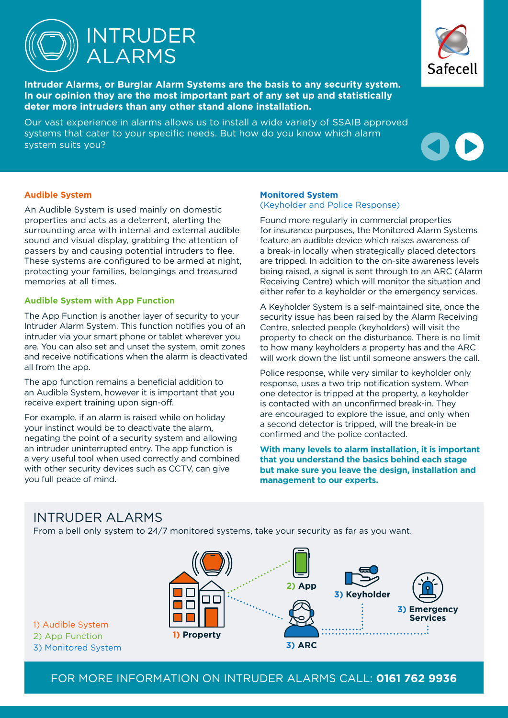

**Intruder Alarms, or Burglar Alarm Systems are the basis to any security system. In our opinion they are the most important part of any set up and statistically deter more intruders than any other stand alone installation.**

Our vast experience in alarms allows us to install a wide variety of SSAIB approved systems that cater to your specific needs. But how do you know which alarm system suits you?



#### **Audible System**

An Audible System is used mainly on domestic properties and acts as a deterrent, alerting the surrounding area with internal and external audible sound and visual display, grabbing the attention of passers by and causing potential intruders to flee. These systems are configured to be armed at night, protecting your families, belongings and treasured memories at all times.

#### **Audible System with App Function**

The App Function is another layer of security to your Intruder Alarm System. This function notifies you of an intruder via your smart phone or tablet wherever you are. You can also set and unset the system, omit zones and receive notifications when the alarm is deactivated all from the app.

The app function remains a beneficial addition to an Audible System, however it is important that you receive expert training upon sign-off.

For example, if an alarm is raised while on holiday your instinct would be to deactivate the alarm, negating the point of a security system and allowing an intruder uninterrupted entry. The app function is a very useful tool when used correctly and combined with other security devices such as CCTV, can give you full peace of mind.

#### **Monitored System**

(Keyholder and Police Response)

Found more regularly in commercial properties for insurance purposes, the Monitored Alarm Systems feature an audible device which raises awareness of a break-in locally when strategically placed detectors are tripped. In addition to the on-site awareness levels being raised, a signal is sent through to an ARC (Alarm Receiving Centre) which will monitor the situation and either refer to a keyholder or the emergency services.

A Keyholder System is a self-maintained site, once the security issue has been raised by the Alarm Receiving Centre, selected people (keyholders) will visit the property to check on the disturbance. There is no limit to how many keyholders a property has and the ARC will work down the list until someone answers the call.

Police response, while very similar to keyholder only response, uses a two trip notification system. When one detector is tripped at the property, a keyholder is contacted with an unconfirmed break-in. They are encouraged to explore the issue, and only when a second detector is tripped, will the break-in be confirmed and the police contacted.

**With many levels to alarm installation, it is important that you understand the basics behind each stage but make sure you leave the design, installation and management to our experts.**

## INTRUDER ALARMS

From a bell only system to 24/7 monitored systems, take your security as far as you want.

**2) App 1) Property 3) ARC 3) Emergency Services 3) Keyholder**

1) Audible System 2) App Function

3) Monitored System

FOR MORE INFORMATION ON INTRUDER ALARMS CALL: **0161 762 9936**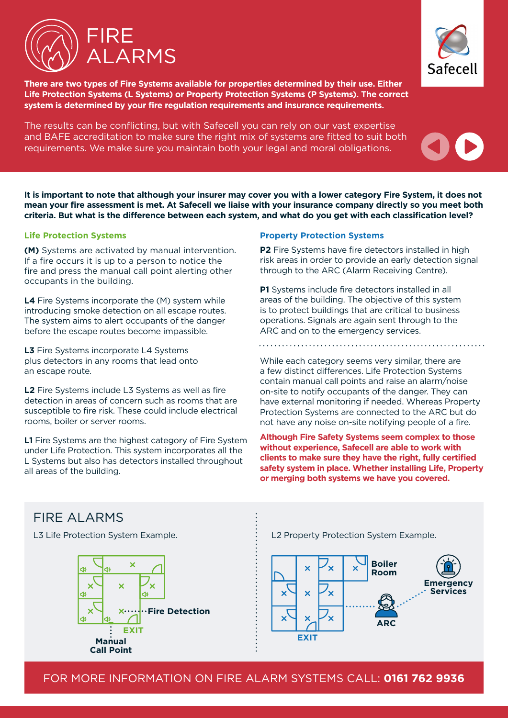



**There are two types of Fire Systems available for properties determined by their use. Either Life Protection Systems (L Systems) or Property Protection Systems (P Systems). The correct system is determined by your fire regulation requirements and insurance requirements.** 

The results can be conflicting, but with Safecell you can rely on our vast expertise and BAFE accreditation to make sure the right mix of systems are fitted to suit both requirements. We make sure you maintain both your legal and moral obligations.



**It is important to note that although your insurer may cover you with a lower category Fire System, it does not mean your fire assessment is met. At Safecell we liaise with your insurance company directly so you meet both criteria. But what is the difference between each system, and what do you get with each classification level?**

#### **Life Protection Systems**

**(M)** Systems are activated by manual intervention. If a fire occurs it is up to a person to notice the fire and press the manual call point alerting other occupants in the building.

**L4** Fire Systems incorporate the (M) system while introducing smoke detection on all escape routes. The system aims to alert occupants of the danger before the escape routes become impassible.

**L3** Fire Systems incorporate L4 Systems plus detectors in any rooms that lead onto an escape route.

**L2** Fire Systems include L3 Systems as well as fire detection in areas of concern such as rooms that are susceptible to fire risk. These could include electrical rooms, boiler or server rooms.

**L1** Fire Systems are the highest category of Fire System under Life Protection. This system incorporates all the L Systems but also has detectors installed throughout all areas of the building.

#### **Property Protection Systems**

**P2** Fire Systems have fire detectors installed in high risk areas in order to provide an early detection signal through to the ARC (Alarm Receiving Centre).

**P1** Systems include fire detectors installed in all areas of the building. The objective of this system is to protect buildings that are critical to business operations. Signals are again sent through to the ARC and on to the emergency services.

While each category seems very similar, there are a few distinct differences. Life Protection Systems contain manual call points and raise an alarm/noise on-site to notify occupants of the danger. They can have external monitoring if needed. Whereas Property Protection Systems are connected to the ARC but do not have any noise on-site notifying people of a fire.

**Although Fire Safety Systems seem complex to those without experience, Safecell are able to work with clients to make sure they have the right, fully certified safety system in place. Whether installing Life, Property or merging both systems we have you covered.**



FOR MORE INFORMATION ON FIRE ALARM SYSTEMS CALL: **0161 762 9936**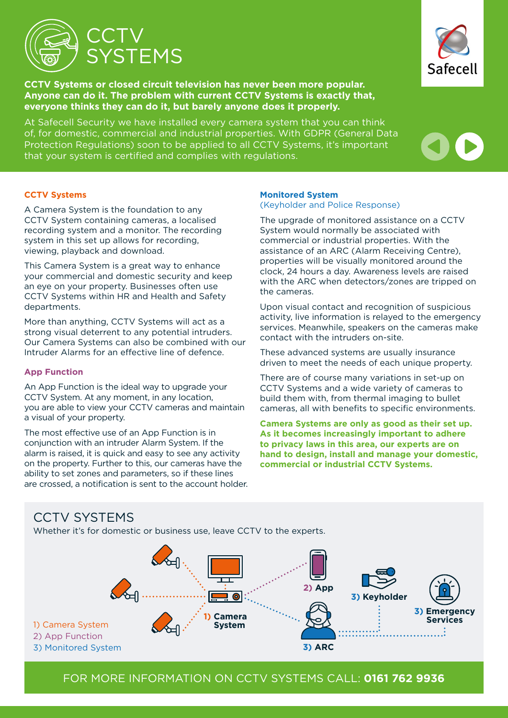

**CCTV Systems or closed circuit television has never been more popular. Anyone can do it. The problem with current CCTV Systems is exactly that, everyone thinks they can do it, but barely anyone does it properly.**

At Safecell Security we have installed every camera system that you can think of, for domestic, commercial and industrial properties. With GDPR (General Data Protection Regulations) soon to be applied to all CCTV Systems, it's important that your system is certified and complies with regulations.

#### **CCTV Systems**

A Camera System is the foundation to any CCTV System containing cameras, a localised recording system and a monitor. The recording system in this set up allows for recording, viewing, playback and download.

This Camera System is a great way to enhance your commercial and domestic security and keep an eye on your property. Businesses often use CCTV Systems within HR and Health and Safety departments.

More than anything, CCTV Systems will act as a strong visual deterrent to any potential intruders. Our Camera Systems can also be combined with our Intruder Alarms for an effective line of defence.

#### **App Function**

An App Function is the ideal way to upgrade your CCTV System. At any moment, in any location, you are able to view your CCTV cameras and maintain a visual of your property.

The most effective use of an App Function is in conjunction with an intruder Alarm System. If the alarm is raised, it is quick and easy to see any activity on the property. Further to this, our cameras have the ability to set zones and parameters, so if these lines are crossed, a notification is sent to the account holder.

#### **Monitored System**

(Keyholder and Police Response)

The upgrade of monitored assistance on a CCTV System would normally be associated with commercial or industrial properties. With the assistance of an ARC (Alarm Receiving Centre), properties will be visually monitored around the clock, 24 hours a day. Awareness levels are raised with the ARC when detectors/zones are tripped on the cameras.

Upon visual contact and recognition of suspicious activity, live information is relayed to the emergency services. Meanwhile, speakers on the cameras make contact with the intruders on-site.

These advanced systems are usually insurance driven to meet the needs of each unique property.

There are of course many variations in set-up on CCTV Systems and a wide variety of cameras to build them with, from thermal imaging to bullet cameras, all with benefits to specific environments.

**Camera Systems are only as good as their set up. As it becomes increasingly important to adhere to privacy laws in this area, our experts are on hand to design, install and manage your domestic, commercial or industrial CCTV Systems.**

## CCTV SYSTEMS

Whether it's for domestic or business use, leave CCTV to the experts.







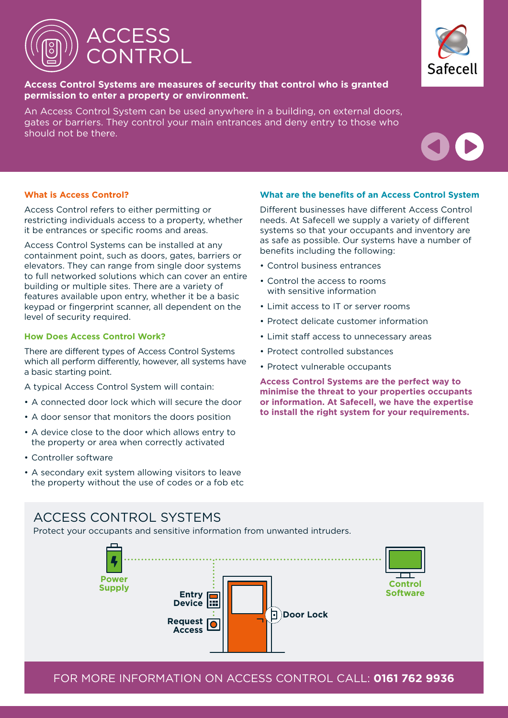

**Access Control Systems are measures of security that control who is granted permission to enter a property or environment.** 

An Access Control System can be used anywhere in a building, on external doors, gates or barriers. They control your main entrances and deny entry to those who should not be there.



Access Control refers to either permitting or restricting individuals access to a property, whether it be entrances or specific rooms and areas.

Access Control Systems can be installed at any containment point, such as doors, gates, barriers or elevators. They can range from single door systems to full networked solutions which can cover an entire building or multiple sites. There are a variety of features available upon entry, whether it be a basic keypad or fingerprint scanner, all dependent on the level of security required.

#### **How Does Access Control Work?**

There are different types of Access Control Systems which all perform differently, however, all systems have a basic starting point.

- A typical Access Control System will contain:
- A connected door lock which will secure the door
- A door sensor that monitors the doors position
- A device close to the door which allows entry to the property or area when correctly activated
- Controller software
- A secondary exit system allowing visitors to leave the property without the use of codes or a fob etc

#### **What are the benefits of an Access Control System**

Different businesses have different Access Control needs. At Safecell we supply a variety of different systems so that your occupants and inventory are as safe as possible. Our systems have a number of benefits including the following:

- Control business entrances
- Control the access to rooms with sensitive information
- Limit access to IT or server rooms
- Protect delicate customer information
- Limit staff access to unnecessary areas
- Protect controlled substances
- Protect vulnerable occupants

**Access Control Systems are the perfect way to minimise the threat to your properties occupants or information. At Safecell, we have the expertise to install the right system for your requirements.**

## ACCESS CONTROL SYSTEMS

Protect your occupants and sensitive information from unwanted intruders.





FOR MORE INFORMATION ON ACCESS CONTROL CALL: **0161 762 9936**